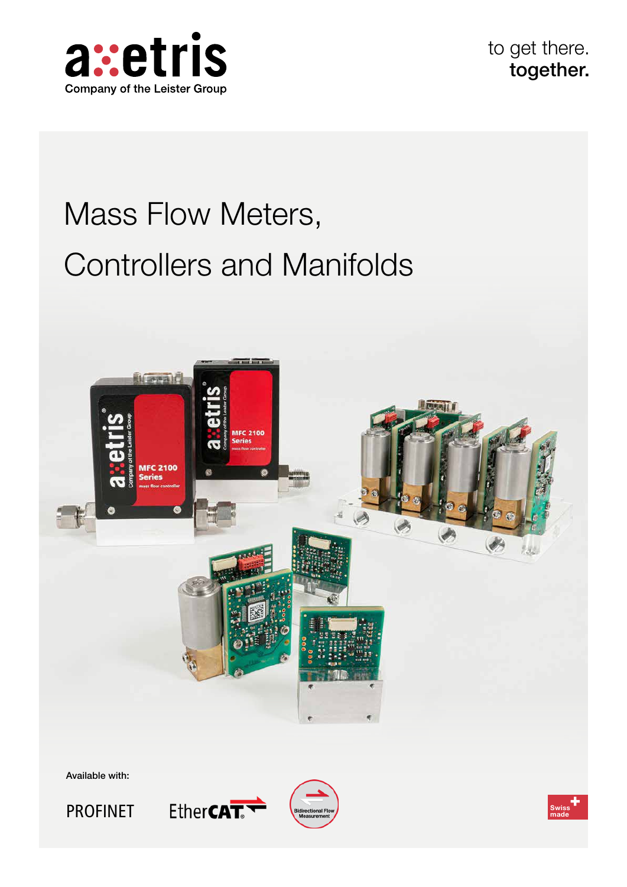

to get there. together.

# Mass Flow Meters, Controllers and Manifolds



Available with:







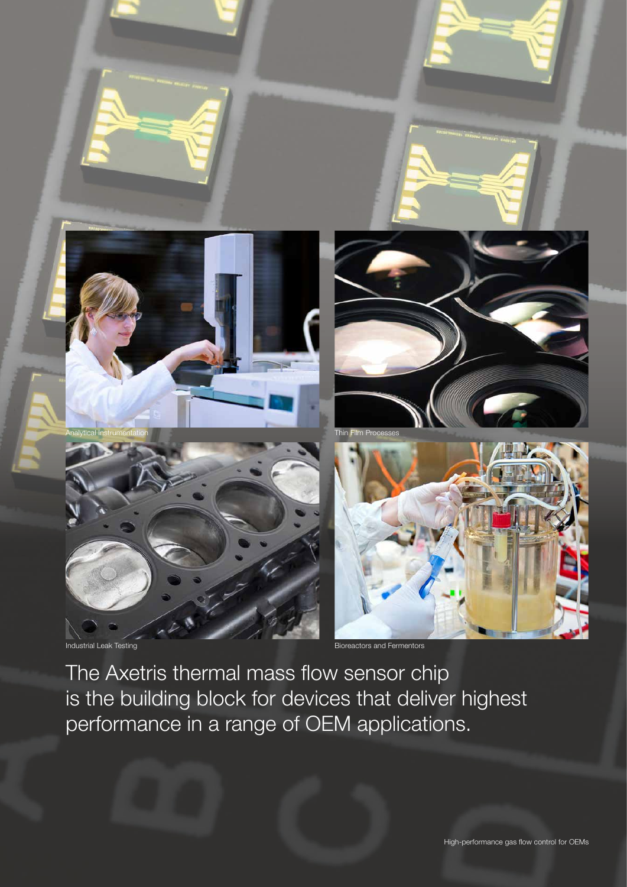

The Axetris thermal mass flow sensor chip is the building block for devices that deliver highest performance in a range of OEM applications.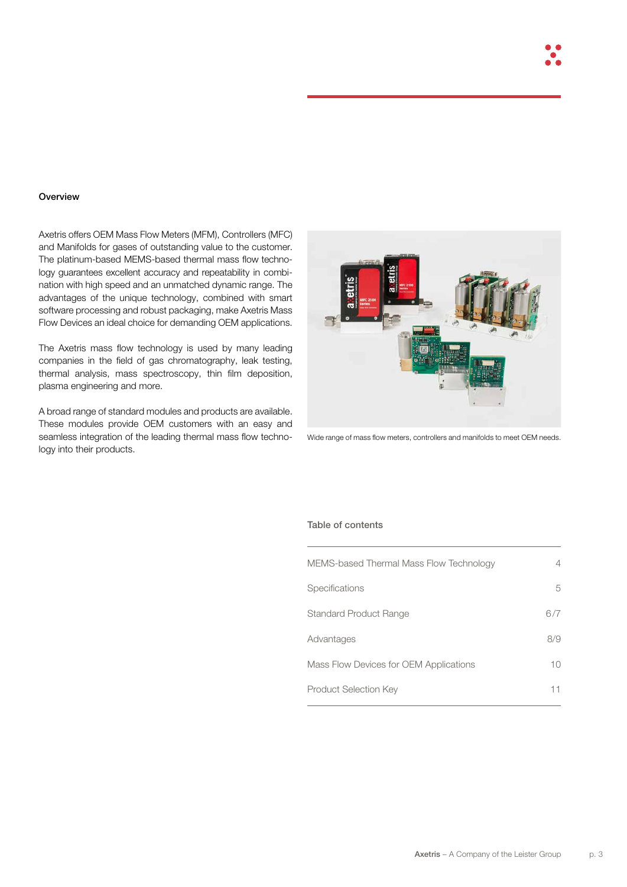#### **Overview**

Axetris offers OEM Mass Flow Meters (MFM), Controllers (MFC) and Manifolds for gases of outstanding value to the customer. The platinum-based MEMS-based thermal mass flow technology guarantees excellent accuracy and repeatability in combination with high speed and an unmatched dynamic range. The advantages of the unique technology, combined with smart software processing and robust packaging, make Axetris Mass Flow Devices an ideal choice for demanding OEM applications.

The Axetris mass flow technology is used by many leading companies in the field of gas chromatography, leak testing, thermal analysis, mass spectroscopy, thin film deposition, plasma engineering and more.

A broad range of standard modules and products are available. These modules provide OEM customers with an easy and seamless integration of the leading thermal mass flow technology into their products.



Wide range of mass flow meters, controllers and manifolds to meet OEM needs.

#### Table of contents

| 4   |
|-----|
| 5   |
| 6/7 |
| 8/9 |
| 10  |
| 11  |
|     |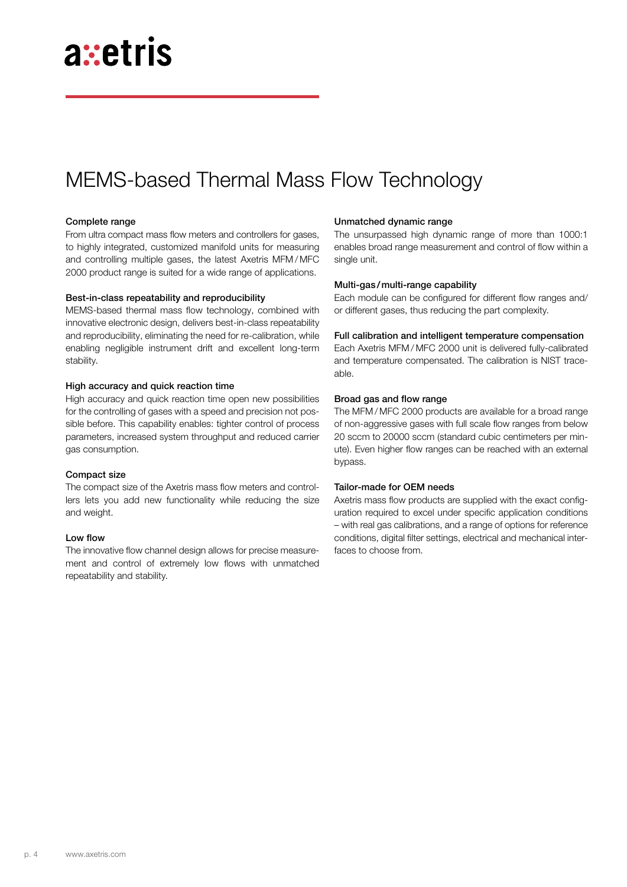## MEMS-based Thermal Mass Flow Technology

#### Complete range

From ultra compact mass flow meters and controllers for gases, to highly integrated, customized manifold units for measuring and controlling multiple gases, the latest Axetris MFM / MFC 2000 product range is suited for a wide range of applications.

#### Best-in-class repeatability and reproducibility

MEMS-based thermal mass flow technology, combined with innovative electronic design, delivers best-in-class repeatability and reproducibility, eliminating the need for re-calibration, while enabling negligible instrument drift and excellent long-term stability.

#### High accuracy and quick reaction time

High accuracy and quick reaction time open new possibilities for the controlling of gases with a speed and precision not possible before. This capability enables: tighter control of process parameters, increased system throughput and reduced carrier gas consumption.

#### Compact size

The compact size of the Axetris mass flow meters and controllers lets you add new functionality while reducing the size and weight.

#### Low flow

The innovative flow channel design allows for precise measurement and control of extremely low flows with unmatched repeatability and stability.

#### Unmatched dynamic range

The unsurpassed high dynamic range of more than 1000:1 enables broad range measurement and control of flow within a single unit.

#### Multi-gas/multi-range capability

Each module can be configured for different flow ranges and/ or different gases, thus reducing the part complexity.

#### Full calibration and intelligent temperature compensation

Each Axetris MFM / MFC 2000 unit is delivered fully-calibrated and temperature compensated. The calibration is NIST traceable.

#### Broad gas and flow range

The MFM / MFC 2000 products are available for a broad range of non-aggressive gases with full scale flow ranges from below 20 sccm to 20000 sccm (standard cubic centimeters per minute). Even higher flow ranges can be reached with an external bypass.

#### Tailor-made for OEM needs

Axetris mass flow products are supplied with the exact configuration required to excel under specific application conditions – with real gas calibrations, and a range of options for reference conditions, digital filter settings, electrical and mechanical interfaces to choose from.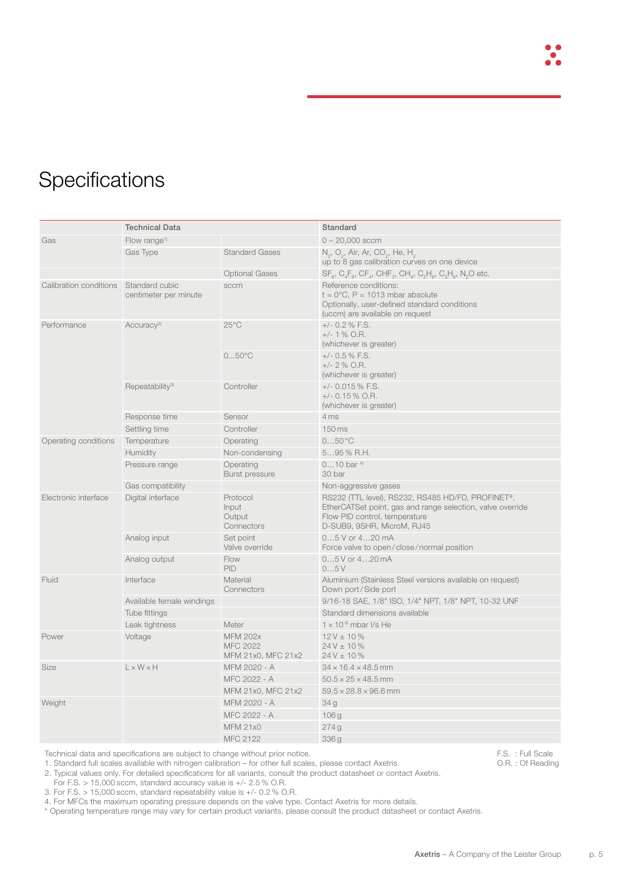## **Specifications**

|                        | <b>Technical Data</b>                   |                                                          | Standard                                                                                                                                                                       |  |  |  |  |  |  |  |  |
|------------------------|-----------------------------------------|----------------------------------------------------------|--------------------------------------------------------------------------------------------------------------------------------------------------------------------------------|--|--|--|--|--|--|--|--|
| Gas                    | Flow range <sup>1)</sup>                |                                                          | $0 - 20,000$ sccm                                                                                                                                                              |  |  |  |  |  |  |  |  |
|                        | Gas Type                                | <b>Standard Gases</b>                                    | $N_2$ , O <sub>2</sub> , Air, Ar, CO <sub>2</sub> , He, H <sub>2</sub><br>up to 8 gas calibration curves on one device                                                         |  |  |  |  |  |  |  |  |
|                        |                                         | <b>Optional Gases</b>                                    | $SF_{\alpha}$ , $C_{A}F_{\alpha}$ , $CF_{A}$ , $CHF_{\alpha}$ , $CH_{A}$ , $C_{\alpha}H_{\alpha}$ , $C_{\alpha}H_{\alpha}$ , N <sub>2</sub> O etc.                             |  |  |  |  |  |  |  |  |
| Calibration conditions | Standard cubic<br>centimeter per minute | sccm                                                     | Reference conditions:<br>$t = 0^{\circ}$ C, P = 1013 mbar absolute<br>Optionally, user-defined standard conditions<br>(uccm) are available on request                          |  |  |  |  |  |  |  |  |
| Performance            | Accuracy <sup>2)</sup>                  | $25^{\circ}$ C                                           | $+/- 0.2 % F.S.$<br>$+/- 1 \%$ O.R.<br>(whichever is greater)                                                                                                                  |  |  |  |  |  |  |  |  |
|                        |                                         | $050^{\circ}$ C                                          | $+/-$ 0.5 % F.S.<br>$+/- 2 % O.R.$<br>(whichever is greater)                                                                                                                   |  |  |  |  |  |  |  |  |
|                        | Repeatability <sup>3)</sup>             | Controller                                               | $+/- 0.015 %$ F.S.<br>$+/- 0.15\%$ O.R.<br>(whichever is greater)                                                                                                              |  |  |  |  |  |  |  |  |
|                        | Response time                           | Sensor                                                   | 4 ms                                                                                                                                                                           |  |  |  |  |  |  |  |  |
|                        | Settling time                           | Controller                                               | 150 ms                                                                                                                                                                         |  |  |  |  |  |  |  |  |
| Operating conditions   | Temperature                             | Operating                                                | 050°C                                                                                                                                                                          |  |  |  |  |  |  |  |  |
|                        | Humidity                                | Non-condensing                                           | $595%$ R.H.                                                                                                                                                                    |  |  |  |  |  |  |  |  |
|                        | Pressure range                          | Operating<br><b>Burst pressure</b>                       | $010$ bar $4$<br>30 bar                                                                                                                                                        |  |  |  |  |  |  |  |  |
|                        | Gas compatibility                       |                                                          | Non-aggressive gases                                                                                                                                                           |  |  |  |  |  |  |  |  |
| Electronic interface   | Digital interface                       | Protocol<br>Input<br>Output<br>Connectors                | RS232 (TTL level), RS232, RS485 HD/FD, PROFINET®,<br>EtherCATSet point, gas and range selection, valve override<br>Flow PID control, temperature<br>D-SUB9, 9SHR, MicroM, RJ45 |  |  |  |  |  |  |  |  |
|                        | Analog input                            | Set point<br>Valve override                              | $05$ V or $420$ mA<br>Force valve to open/close/normal position                                                                                                                |  |  |  |  |  |  |  |  |
|                        | Analog output                           | Flow<br>PID                                              | $05V$ or $420$ mA<br>05V                                                                                                                                                       |  |  |  |  |  |  |  |  |
| Fluid                  | Interface                               | Material<br>Connectors                                   | Aluminium (Stainless Steel versions available on request)<br>Down port/Side port                                                                                               |  |  |  |  |  |  |  |  |
|                        | Available female windings               |                                                          | 9/16-18 SAE, 1/8" ISO, 1/4" NPT, 1/8" NPT, 10-32 UNF                                                                                                                           |  |  |  |  |  |  |  |  |
|                        | Tube fittings                           |                                                          | Standard dimensions available                                                                                                                                                  |  |  |  |  |  |  |  |  |
|                        | Leak tightness                          | Meter                                                    | $1 \times 10^{-9}$ mbar I/s He                                                                                                                                                 |  |  |  |  |  |  |  |  |
| Power                  | Voltage                                 | <b>MFM 202x</b><br><b>MFC 2022</b><br>MFM 21x0, MFC 21x2 | $12V \pm 10\%$<br>$24V \pm 10\%$<br>$24V \pm 10\%$                                                                                                                             |  |  |  |  |  |  |  |  |
| <b>Size</b>            | $L \times W \times H$                   | MFM 2020 - A                                             | $34 \times 16.4 \times 48.5$ mm                                                                                                                                                |  |  |  |  |  |  |  |  |
|                        |                                         | MFC 2022 - A                                             | $50.5 \times 25 \times 48.5$ mm                                                                                                                                                |  |  |  |  |  |  |  |  |
|                        |                                         | MFM 21x0, MFC 21x2                                       | $59.5 \times 28.8 \times 96.6$ mm                                                                                                                                              |  |  |  |  |  |  |  |  |
| Weight                 |                                         | MFM 2020 - A                                             | 34g                                                                                                                                                                            |  |  |  |  |  |  |  |  |
|                        |                                         | MFC 2022 - A                                             | 106g                                                                                                                                                                           |  |  |  |  |  |  |  |  |
|                        |                                         | <b>MFM 21x0</b>                                          | 274g                                                                                                                                                                           |  |  |  |  |  |  |  |  |
|                        |                                         | <b>MFC 2122</b>                                          | 336 g                                                                                                                                                                          |  |  |  |  |  |  |  |  |

Technical data and specifications are subject to change without prior notice.

1. Standard full scales available with nitrogen calibration – for other full scales, please contact Axetris.

2. Typical values only. For detailed specifications for all variants, consult the product datasheet or contact Axetris.

For F.S. > 15,000 sccm, standard accuracy value is +/- 2.5 % O.R.

3. For F.S. > 15,000 sccm, standard repeatability value is +/- 0.2 % O.R.

4. For MFCs the maximum operating pressure depends on the valve type. Contact Axetris for more details.

\* Operating temperature range may vary for certain product variants, please consult the product datasheet or contact Axetris.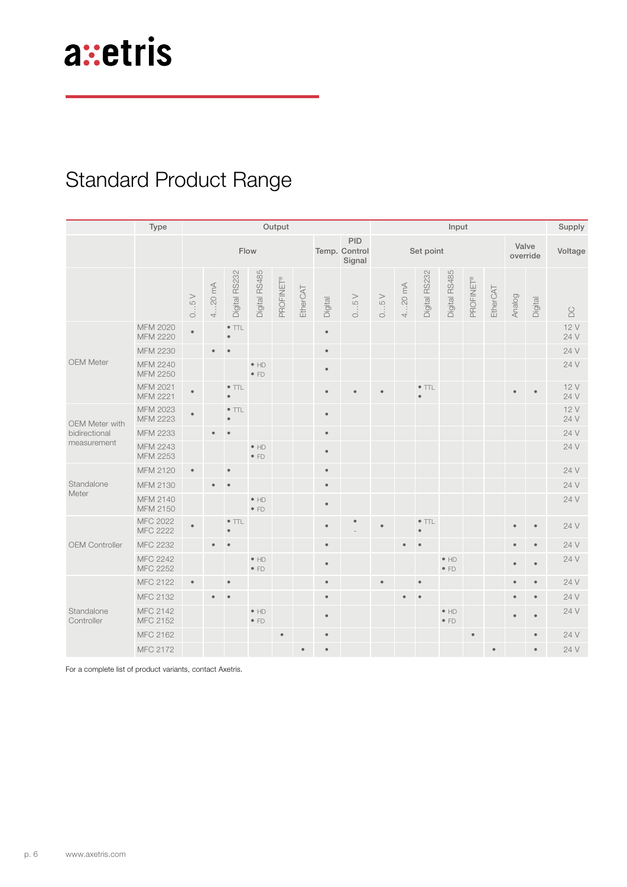## Standard Product Range

|                                                | Type                               | Output    |           |                            |                              |           |           |                                       | Input     |           |           |               |                              |           |                   |           | Supply    |             |
|------------------------------------------------|------------------------------------|-----------|-----------|----------------------------|------------------------------|-----------|-----------|---------------------------------------|-----------|-----------|-----------|---------------|------------------------------|-----------|-------------------|-----------|-----------|-------------|
|                                                |                                    | Flow      |           |                            |                              |           |           | <b>PID</b><br>Temp. Control<br>Signal | Set point |           |           |               |                              |           | Valve<br>override |           | Voltage   |             |
|                                                |                                    | 05V       | $420$ mA  | Digital RS232              | Digital RS485                | PROFINET® | EtherCAT  | Digital                               | 05V       | 05V       | $420$ mA  | Digital RS232 | Digital RS485                | PROFINET® | EtherCAT          | Analog    | Digital   | $\sum$      |
| <b>OEM Meter</b>                               | <b>MFM 2020</b><br><b>MFM 2220</b> | $\bullet$ |           | $\bullet$ TTL<br>$\bullet$ |                              |           |           | $\bullet$                             |           |           |           |               |                              |           |                   |           |           | 12V<br>24 V |
|                                                | MFM 2230                           |           |           |                            |                              |           |           | $\bullet$                             |           |           |           |               |                              |           |                   |           |           | 24 V        |
|                                                | MFM 2240<br>MFM 2250               |           |           |                            | $\bullet$ HD<br>$\bullet$ FD |           |           | $\bullet$                             |           |           |           |               |                              |           |                   |           |           | 24 V        |
|                                                | MFM 2021<br><b>MFM 2221</b>        | $\bullet$ |           | $\bullet$ TTL<br>$\bullet$ |                              |           |           | $\bullet$                             |           | $\bullet$ |           | $\bullet$ TTL |                              |           |                   | $\bullet$ | $\bullet$ | 12V<br>24 V |
| OEM Meter with<br>bidirectional<br>measurement | <b>MFM 2023</b><br><b>MFM 2223</b> | $\bullet$ |           | $\bullet$ TTL<br>$\bullet$ |                              |           |           | $\bullet$                             |           |           |           |               |                              |           |                   |           |           | 12V<br>24 V |
|                                                | MFM 2233                           |           |           |                            |                              |           |           | $\bullet$                             |           |           |           |               |                              |           |                   |           |           | 24 V        |
|                                                | <b>MFM 2243</b><br>MFM 2253        |           |           |                            | $\bullet$ HD<br>$\bullet$ FD |           |           | $\bullet$                             |           |           |           |               |                              |           |                   |           |           | 24 V        |
|                                                | <b>MFM 2120</b>                    | $\bullet$ |           | $\bullet$                  |                              |           |           | $\bullet$                             |           |           |           |               |                              |           |                   |           |           | 24 V        |
| Standalone<br>Meter                            | MFM 2130                           |           | $\bullet$ | $\bullet$                  |                              |           |           | $\bullet$                             |           |           |           |               |                              |           |                   |           |           | 24 V        |
|                                                | MFM 2140<br>MFM 2150               |           |           |                            | $\bullet$ HD<br>$\bullet$ FD |           |           | $\bullet$                             |           |           |           |               |                              |           |                   |           |           | 24 V        |
| <b>OEM Controller</b>                          | <b>MFC 2022</b><br><b>MFC 2222</b> | $\bullet$ |           | $\bullet$ TTL              |                              |           |           | $\bullet$                             |           | $\bullet$ |           | $\bullet$ TTL |                              |           |                   | $\bullet$ | $\bullet$ | 24 V        |
|                                                | MFC 2232                           |           |           |                            |                              |           |           | $\bullet$                             |           |           |           |               |                              |           |                   | $\bullet$ | $\bullet$ | 24 V        |
|                                                | <b>MFC 2242</b><br>MFC 2252        |           |           |                            | $\bullet$ HD<br>$\bullet$ FD |           |           | $\bullet$                             |           |           |           |               | $\bullet$ HD<br>$\bullet$ FD |           |                   | $\bullet$ | $\bullet$ | 24 V        |
| Standalone<br>Controller                       | MFC 2122                           | $\bullet$ |           | $\bullet$                  |                              |           |           | $\bullet$                             |           | ٠         |           |               |                              |           |                   | $\bullet$ | $\bullet$ | 24 V        |
|                                                | MFC 2132                           |           | $\bullet$ | $\bullet$                  |                              |           |           | $\bullet$                             |           |           | $\bullet$ |               |                              |           |                   | $\bullet$ | $\bullet$ | 24 V        |
|                                                | <b>MFC 2142</b><br>MFC 2152        |           |           |                            | $\bullet$ HD<br>$\bullet$ FD |           |           | $\bullet$                             |           |           |           |               | $\bullet$ HD<br>$\bullet$ FD |           |                   | $\bullet$ | $\bullet$ | 24 V        |
|                                                | MFC 2162                           |           |           |                            |                              | $\bullet$ |           | $\bullet$                             |           |           |           |               |                              | $\bullet$ |                   |           | $\bullet$ | 24 V        |
|                                                | MFC 2172                           |           |           |                            |                              |           | $\bullet$ | $\bullet$                             |           |           |           |               |                              |           | $\bullet$         |           | $\bullet$ | 24 V        |

For a complete list of product variants, contact Axetris.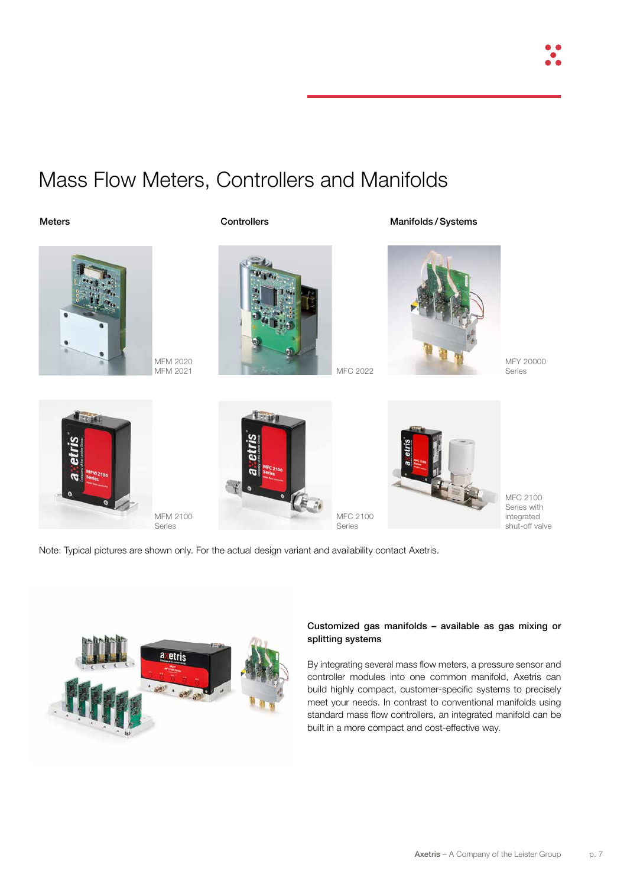

## Mass Flow Meters, Controllers and Manifolds

#### Meters **Manifolds / Systems** Controllers **Controllers** Manifolds / Systems



MFM 2020



MFY 20000 Series







MFC 2100 Series with integrated shut-off valve

Note: Typical pictures are shown only. For the actual design variant and availability contact Axetris.



#### Customized gas manifolds – available as gas mixing or splitting systems

By integrating several mass flow meters, a pressure sensor and controller modules into one common manifold, Axetris can build highly compact, customer-specific systems to precisely meet your needs. In contrast to conventional manifolds using standard mass flow controllers, an integrated manifold can be built in a more compact and cost-effective way.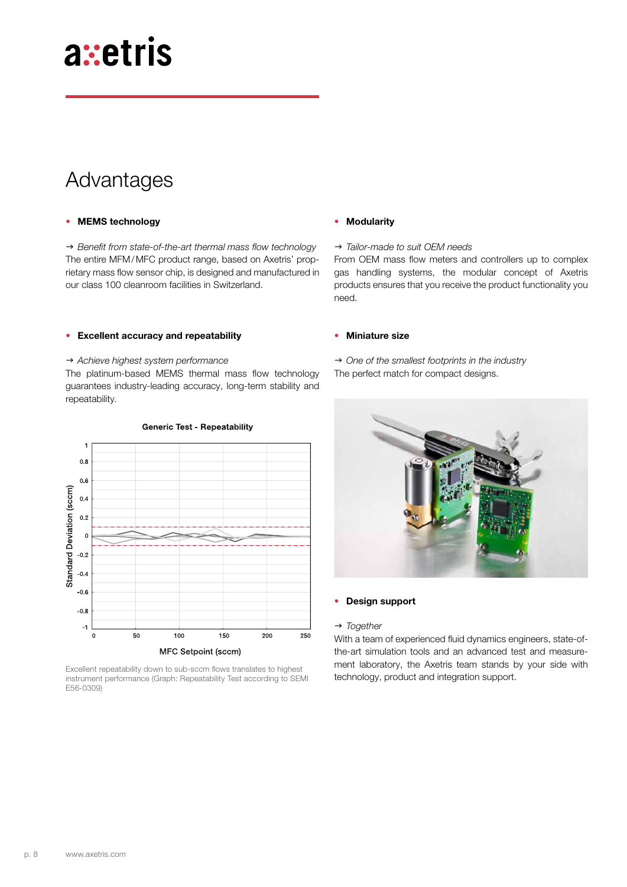### Advantages

#### • MEMS technology

→ Benefit from state-of-the-art thermal mass flow technology The entire MFM/MFC product range, based on Axetris' proprietary mass flow sensor chip, is designed and manufactured in our class 100 cleanroom facilities in Switzerland.

#### • Excellent accuracy and repeatability

#### → Achieve highest system performance

The platinum-based MEMS thermal mass flow technology guarantees industry-leading accuracy, long-term stability and repeatability.



Excellent repeatability down to sub-sccm flows translates to highest instrument performance (Graph: Repeatability Test according to SEMI E56-0309)

#### **Modularity**

#### → *Tailor-made to suit OEM needs*

From OEM mass flow meters and controllers up to complex gas handling systems, the modular concept of Axetris products ensures that you receive the product functionality you need.

#### • Miniature size

- → One of the smallest footprints in the industry
- The perfect match for compact designs.



#### • Design support

#### → *Together*

With a team of experienced fluid dynamics engineers, state-ofthe-art simulation tools and an advanced test and measurement laboratory, the Axetris team stands by your side with technology, product and integration support.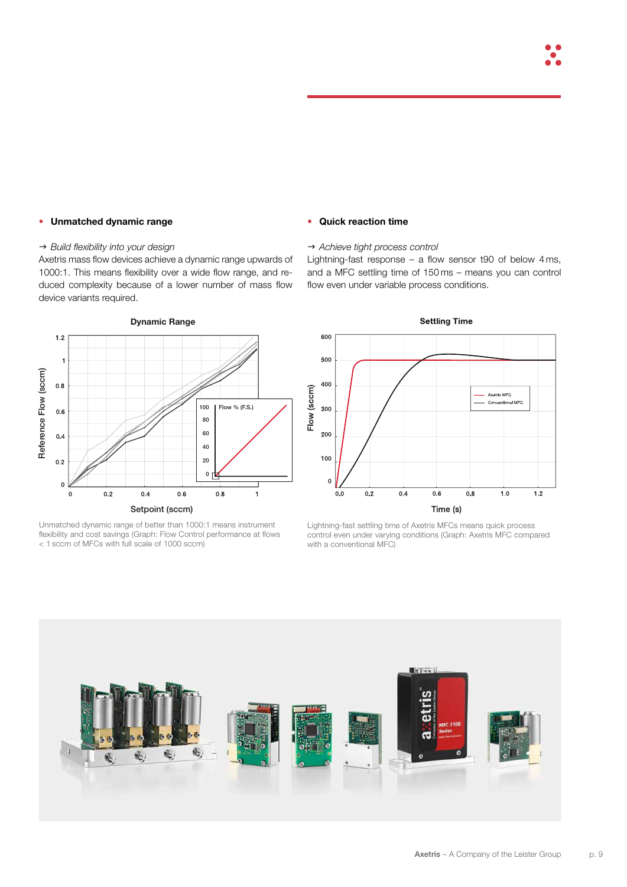#### • Unmatched dynamic range

#### $\rightarrow$  Build flexibility into your design

Axetris mass flow devices achieve a dynamic range upwards of 1000:1. This means flexibility over a wide flow range, and reduced complexity because of a lower number of mass flow device variants required.



Unmatched dynamic range of better than 1000:1 means instrument flexibility and cost savings (Graph: Flow Control performance at flows < 1 sccm of MFCs with full scale of 1000 sccm)

#### • Quick reaction time

#### → Achieve tight process control

Lightning-fast response – a flow sensor t90 of below 4 ms, and a MFC settling time of 150 ms – means you can control flow even under variable process conditions.



Lightning-fast settling time of Axetris MFCs means quick process control even under varying conditions (Graph: Axetris MFC compared with a conventional MFC)

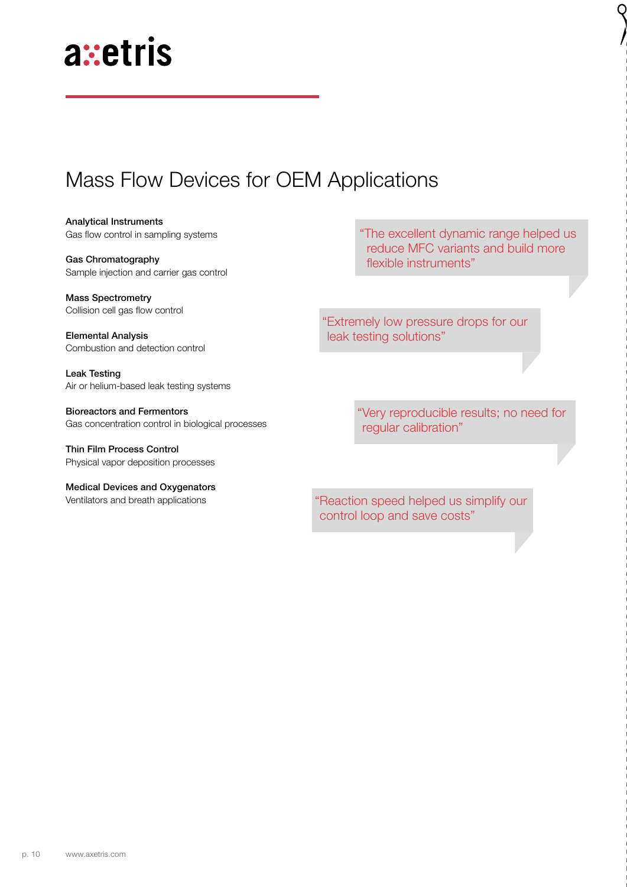### Mass Flow Devices for OEM Applications

Analytical Instruments Gas flow control in sampling systems

Gas Chromatography Sample injection and carrier gas control

Mass Spectrometry Collision cell gas flow control

Elemental Analysis Combustion and detection control

Leak Testing Air or helium-based leak testing systems

Bioreactors and Fermentors Gas concentration control in biological processes

Thin Film Process Control Physical vapor deposition processes

Medical Devices and Oxygenators Ventilators and breath applications

"The excellent dynamic range helped us reduce MFC variants and build more flexible instruments"

"Extremely low pressure drops for our leak testing solutions"

> "Very reproducible results; no need for regular calibration"

"Reaction speed helped us simplify our control loop and save costs"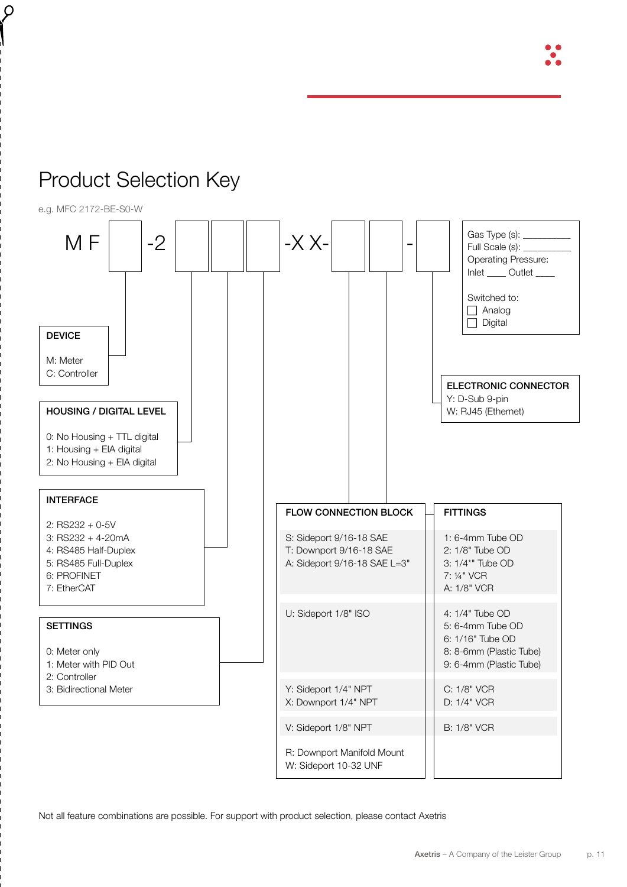

## Product Selection Key

 $\varphi$ 

 $M = | -2 | || || - || -1 - x - x -$ DEVICE M: Meter C: Controller HOUSING / DIGITAL LEVEL 0: No Housing + TTL digital 1: Housing + EIA digital 2: No Housing + EIA digital INTERFACE 2: RS232 + 0-5V 3: RS232 + 4-20mA 4: RS485 Half-Duplex 5: RS485 Full-Duplex 6: PROFINET 7: EtherCAT **SETTINGS** 0: Meter only 1: Meter with PID Out 2: Controller 3: Bidirectional Meter FLOW CONNECTION BLOCK S: Sideport 9/16-18 SAE T: Downport 9/16-18 SAE A: Sideport 9/16-18 SAE L=3" U: Sideport 1/8" ISO Y: Sideport 1/4" NPT X: Downport 1/4" NPT V: Sideport 1/8" NPT R: Downport Manifold Mount W: Sideport 10-32 UNF **FITTINGS** 1: 6-4mm Tube OD 2: 1/8" Tube OD 3: 1/4\*" Tube OD 7: ¼" VCR A: 1/8" VCR 4: 1/4" Tube OD 5: 6-4mm Tube OD 6: 1/16" Tube OD 8: 8-6mm (Plastic Tube) 9: 6-4mm (Plastic Tube) C: 1/8" VCR D: 1/4" VCR B: 1/8" VCR ELECTRONIC CONNECTOR Y: D-Sub 9-pin W: RJ45 (Ethernet) Gas Type (s): \_\_\_\_\_\_\_\_\_\_ Full Scale (s): \_ Operating Pressure: Inlet Outlet Switched to:  $\Box$  Analog  $\Box$  Digital e.g. MFC 2172-BE-S0-W

Not all feature combinations are possible. For support with product selection, please contact Axetris